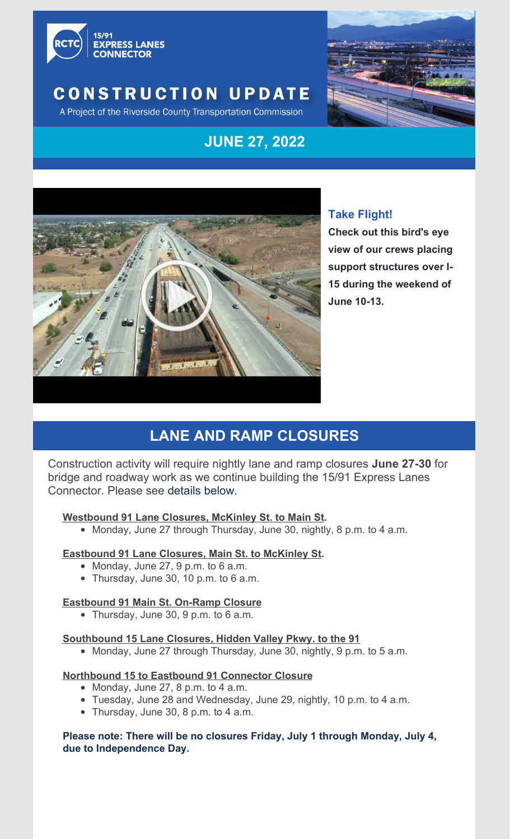

## **CONSTRUCTION UPDATE**



A Project of the Riverside County Transportation Commission

## **JUNE 27, 2022**



#### **Take Flight!**

**Check out this bird's eye view of our crews placing support structures over I-15 during the weekend of June 10-13.**

## **LANE AND RAMP CLOSURES**

Construction activity will require nightly lane and ramp closures **June 27-30** for bridge and roadway work as we continue building the 15/91 Express Lanes Connector. Please see details below.

#### **Westbound 91 Lane Closures, McKinley St. to Main St.**

• Monday, June 27 through Thursday, June 30, nightly, 8 p.m. to 4 a.m.

#### **Eastbound 91 Lane Closures, Main St. to McKinley St.**

- Monday, June 27, 9 p.m. to 6 a.m.
- Thursday, June 30, 10 p.m. to 6 a.m.

#### **Eastbound 91 Main St. On-Ramp Closure**

Thursday, June 30, 9 p.m. to 6 a.m.

#### **Southbound 15 Lane Closures, Hidden Valley Pkwy. to the 91**

Monday, June 27 through Thursday, June 30, nightly, 9 p.m. to 5 a.m.

#### **Northbound 15 to Eastbound 91 Connector Closure**

- Monday, June 27, 8 p.m. to 4 a.m.
- Tuesday, June 28 and Wednesday, June 29, nightly, 10 p.m. to 4 a.m.
- Thursday, June 30, 8 p.m. to 4 a.m.

#### **Please note: There will be no closures Friday, July 1 through Monday, July 4, due to Independence Day.**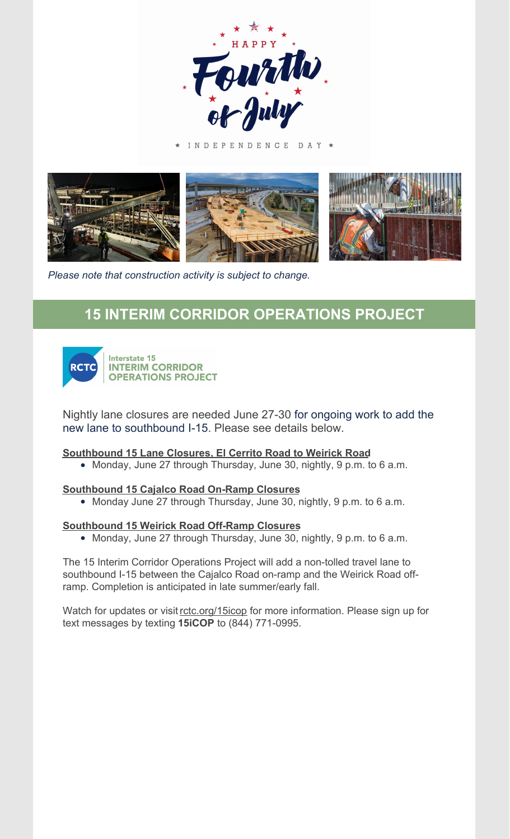

INDEPENDENCE DAY \*



*Please note that construction activity is subject to change.*

## **15 INTERIM CORRIDOR OPERATIONS PROJECT**



Interstate 15 **INTERIM CORRIDOR OPERATIONS PROJECT** 

Nightly lane closures are needed June 27-30 for ongoing work to add the new lane to southbound I-15. Please see details below.

#### **Southbound 15 Lane Closures, El Cerrito Road to Weirick Road**

Monday, June 27 through Thursday, June 30, nightly, 9 p.m. to 6 a.m.

#### **Southbound 15 Cajalco Road On-Ramp Closures**

Monday June 27 through Thursday, June 30, nightly, 9 p.m. to 6 a.m.

#### **Southbound 15 Weirick Road Off-Ramp Closures**

Monday, June 27 through Thursday, June 30, nightly, 9 p.m. to 6 a.m.

The 15 Interim Corridor Operations Project will add a non-tolled travel lane to southbound I-15 between the Cajalco Road on-ramp and the Weirick Road offramp. Completion is anticipated in late summer/early fall.

Watch for updates or visit [rctc.org/15icop](https://nam10.safelinks.protection.outlook.com/?url=https%3A%2F%2Fwww.rctc.org%2F15icop&data=04%7C01%7CMichelle.Kennedy%40trccompanies.com%7C09fb53344ed844b6af0408da02d67b71%7C543eaf7b7e0d4076a34d1fc8cc20e5bb%7C0%7C1%7C637825417479891339%7CUnknown%7CTWFpbGZsb3d8eyJWIjoiMC4wLjAwMDAiLCJQIjoiV2luMzIiLCJBTiI6Ik1haWwiLCJXVCI6Mn0%3D%7C3000&sdata=NmT9KXjd2TooCenzUXIbY%2FMbOFVmioiDX2X3wPHGgTw%3D&reserved=0) for more information. Please sign up for text messages by texting **15iCOP** to (844) 771-0995.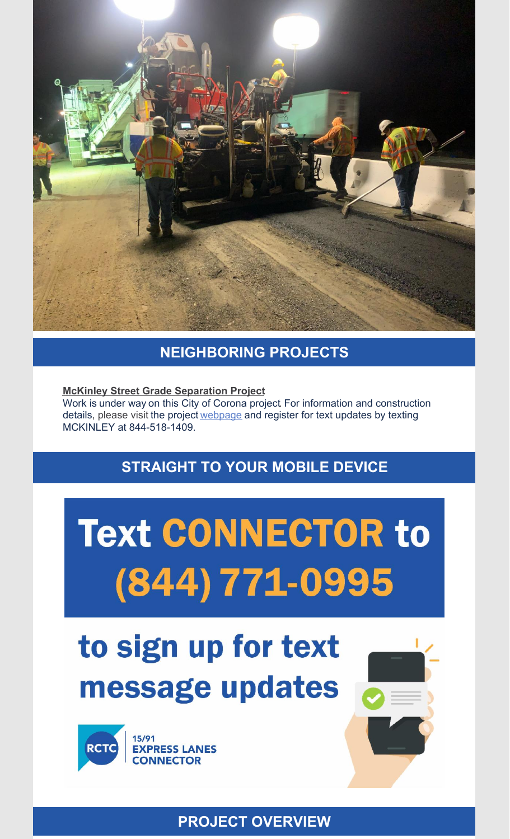

### **NEIGHBORING PROJECTS**

**McKinley Street Grade Separation Project** Work is under way on this City of Corona project. For information and construction details, please visit the project [webpage](https://nam10.safelinks.protection.outlook.com/?url=https%3A%2F%2Fwww.coronaca.gov%2Fgovernment%2Fdepartments-divisions%2Fpublic-works%2Fconstruction-projects%2Fmckinley-grade-separation&data=05%7C01%7CMichelle.Kennedy%40trccompanies.com%7Ce2fd90beaa9142b45add08da345e730a%7C543eaf7b7e0d4076a34d1fc8cc20e5bb%7C0%7C0%7C637879877530735410%7CUnknown%7CTWFpbGZsb3d8eyJWIjoiMC4wLjAwMDAiLCJQIjoiV2luMzIiLCJBTiI6Ik1haWwiLCJXVCI6Mn0%3D%7C3000%7C%7C%7C&sdata=DEySfnHQykIkOrYxEZ9GJKd8%2F3Kqz4gMxzWPh9jUaKQ%3D&reserved=0) and register for text updates by texting MCKINLEY at 844-518-1409.

## **STRAIGHT TO YOUR MOBILE DEVICE**

# **Text CONNECTOR to** (844) 771-0995

## to sign up for text message updates



**PROJECT OVERVIEW**